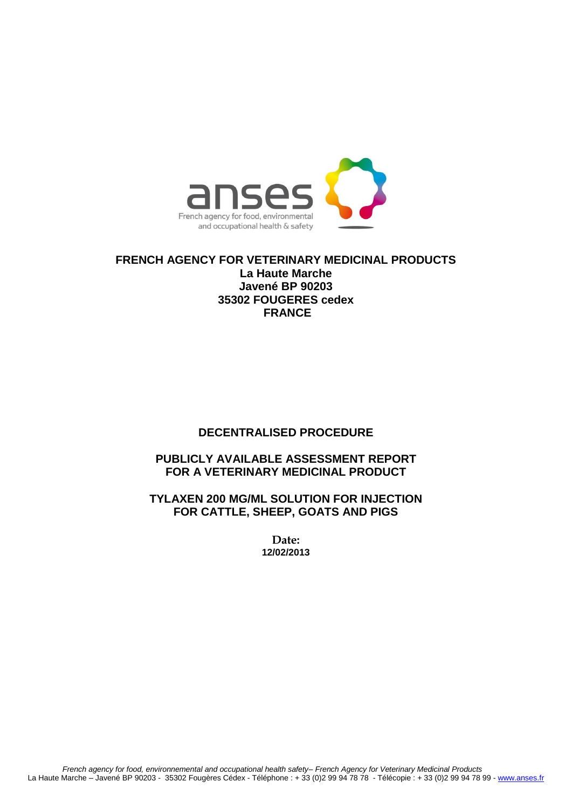

**FRENCH AGENCY FOR VETERINARY MEDICINAL PRODUCTS La Haute Marche Javené BP 90203 35302 FOUGERES cedex FRANCE**

# **DECENTRALISED PROCEDURE**

# **PUBLICLY AVAILABLE ASSESSMENT REPORT FOR A VETERINARY MEDICINAL PRODUCT**

**TYLAXEN 200 MG/ML SOLUTION FOR INJECTION FOR CATTLE, SHEEP, GOATS AND PIGS**

> **Date: 12/02/2013**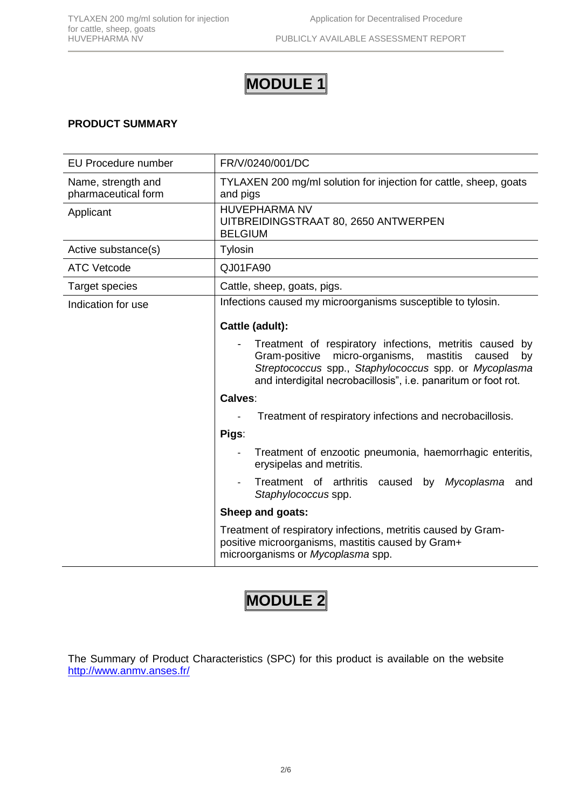# **MODULE 1**

# **PRODUCT SUMMARY**

| <b>EU Procedure number</b>                | FR/V/0240/001/DC                                                                                                                                                                                                                              |  |  |  |  |
|-------------------------------------------|-----------------------------------------------------------------------------------------------------------------------------------------------------------------------------------------------------------------------------------------------|--|--|--|--|
| Name, strength and<br>pharmaceutical form | TYLAXEN 200 mg/ml solution for injection for cattle, sheep, goats<br>and pigs                                                                                                                                                                 |  |  |  |  |
| Applicant                                 | <b>HUVEPHARMA NV</b><br>UITBREIDINGSTRAAT 80, 2650 ANTWERPEN<br><b>BELGIUM</b>                                                                                                                                                                |  |  |  |  |
| Active substance(s)                       | Tylosin                                                                                                                                                                                                                                       |  |  |  |  |
| <b>ATC Vetcode</b>                        | QJ01FA90                                                                                                                                                                                                                                      |  |  |  |  |
| <b>Target species</b>                     | Cattle, sheep, goats, pigs.                                                                                                                                                                                                                   |  |  |  |  |
| Indication for use                        | Infections caused my microorganisms susceptible to tylosin.                                                                                                                                                                                   |  |  |  |  |
|                                           | Cattle (adult):                                                                                                                                                                                                                               |  |  |  |  |
|                                           | Treatment of respiratory infections, metritis caused by<br>Gram-positive micro-organisms, mastitis<br>caused<br>by<br>Streptococcus spp., Staphylococcus spp. or Mycoplasma<br>and interdigital necrobacillosis", i.e. panaritum or foot rot. |  |  |  |  |
|                                           | Calves:                                                                                                                                                                                                                                       |  |  |  |  |
|                                           | Treatment of respiratory infections and necrobacillosis.                                                                                                                                                                                      |  |  |  |  |
|                                           | Pigs:                                                                                                                                                                                                                                         |  |  |  |  |
|                                           | Treatment of enzootic pneumonia, haemorrhagic enteritis,<br>erysipelas and metritis.                                                                                                                                                          |  |  |  |  |
|                                           | Treatment of arthritis caused by<br>Mycoplasma<br>and<br>Staphylococcus spp.                                                                                                                                                                  |  |  |  |  |
|                                           | Sheep and goats:                                                                                                                                                                                                                              |  |  |  |  |
|                                           | Treatment of respiratory infections, metritis caused by Gram-<br>positive microorganisms, mastitis caused by Gram+<br>microorganisms or Mycoplasma spp.                                                                                       |  |  |  |  |

# **MODULE 2**

The Summary of Product Characteristics (SPC) for this product is available on the website <http://www.anmv.anses.fr/>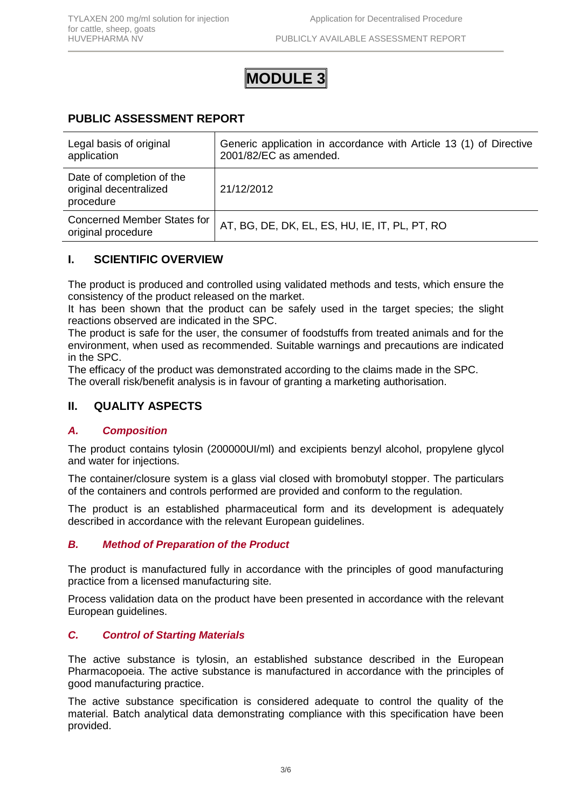# **MODULE 3**

# **PUBLIC ASSESSMENT REPORT**

| Legal basis of original<br>application                           | Generic application in accordance with Article 13 (1) of Directive<br>2001/82/EC as amended. |
|------------------------------------------------------------------|----------------------------------------------------------------------------------------------|
| Date of completion of the<br>original decentralized<br>procedure | 21/12/2012                                                                                   |
| Concerned Member States for<br>original procedure                | AT, BG, DE, DK, EL, ES, HU, IE, IT, PL, PT, RO                                               |

# **I. SCIENTIFIC OVERVIEW**

The product is produced and controlled using validated methods and tests, which ensure the consistency of the product released on the market.

It has been shown that the product can be safely used in the target species; the slight reactions observed are indicated in the SPC.

The product is safe for the user, the consumer of foodstuffs from treated animals and for the environment, when used as recommended. Suitable warnings and precautions are indicated in the SPC.

The efficacy of the product was demonstrated according to the claims made in the SPC. The overall risk/benefit analysis is in favour of granting a marketing authorisation.

# **II. QUALITY ASPECTS**

## *A. Composition*

The product contains tylosin (200000UI/ml) and excipients benzyl alcohol, propylene glycol and water for injections.

The container/closure system is a glass vial closed with bromobutyl stopper. The particulars of the containers and controls performed are provided and conform to the regulation.

The product is an established pharmaceutical form and its development is adequately described in accordance with the relevant European guidelines.

## *B. Method of Preparation of the Product*

The product is manufactured fully in accordance with the principles of good manufacturing practice from a licensed manufacturing site*.*

Process validation data on the product have been presented in accordance with the relevant European guidelines.

# *C. Control of Starting Materials*

The active substance is tylosin, an established substance described in the European Pharmacopoeia. The active substance is manufactured in accordance with the principles of good manufacturing practice.

The active substance specification is considered adequate to control the quality of the material. Batch analytical data demonstrating compliance with this specification have been provided.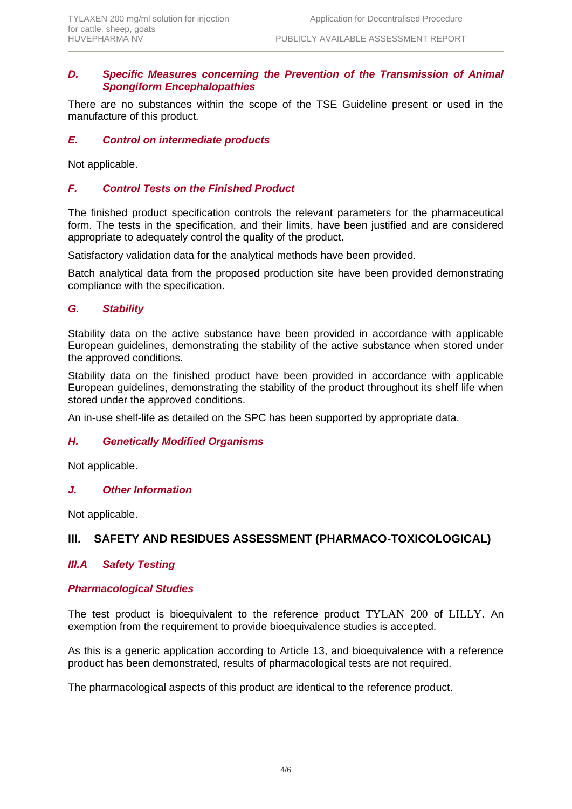## *D. Specific Measures concerning the Prevention of the Transmission of Animal Spongiform Encephalopathies*

There are no substances within the scope of the TSE Guideline present or used in the manufacture of this product*.*

# *E. Control on intermediate products*

Not applicable.

# *F. Control Tests on the Finished Product*

The finished product specification controls the relevant parameters for the pharmaceutical form. The tests in the specification, and their limits, have been justified and are considered appropriate to adequately control the quality of the product.

Satisfactory validation data for the analytical methods have been provided.

Batch analytical data from the proposed production site have been provided demonstrating compliance with the specification.

## *G. Stability*

Stability data on the active substance have been provided in accordance with applicable European guidelines, demonstrating the stability of the active substance when stored under the approved conditions.

Stability data on the finished product have been provided in accordance with applicable European guidelines, demonstrating the stability of the product throughout its shelf life when stored under the approved conditions.

An in-use shelf-life as detailed on the SPC has been supported by appropriate data.

## *H. Genetically Modified Organisms*

Not applicable.

#### *J. Other Information*

Not applicable.

# **III. SAFETY AND RESIDUES ASSESSMENT (PHARMACO-TOXICOLOGICAL)**

## *III.A Safety Testing*

#### *Pharmacological Studies*

The test product is bioequivalent to the reference product TYLAN 200 of LILLY. An exemption from the requirement to provide bioequivalence studies is accepted.

As this is a generic application according to Article 13, and bioequivalence with a reference product has been demonstrated, results of pharmacological tests are not required.

The pharmacological aspects of this product are identical to the reference product.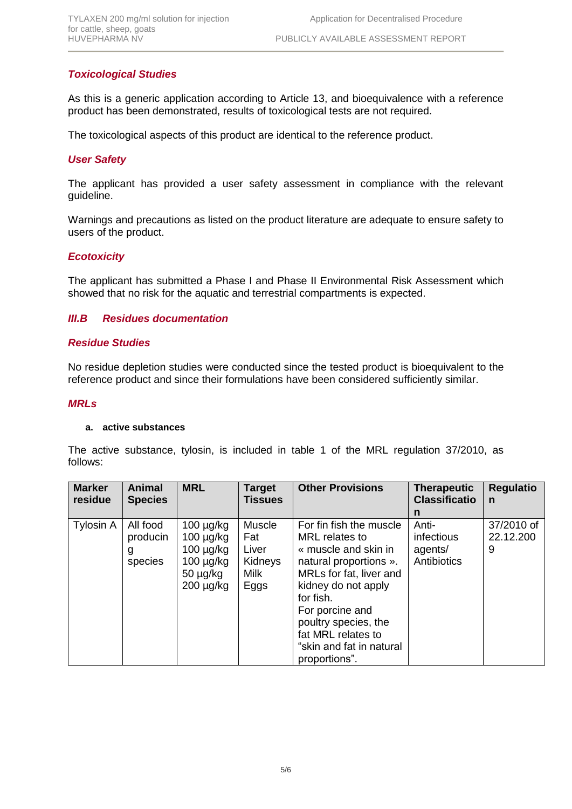# *Toxicological Studies*

As this is a generic application according to Article 13, and bioequivalence with a reference product has been demonstrated, results of toxicological tests are not required.

The toxicological aspects of this product are identical to the reference product.

# *User Safety*

The applicant has provided a user safety assessment in compliance with the relevant guideline.

Warnings and precautions as listed on the product literature are adequate to ensure safety to users of the product.

## *Ecotoxicity*

The applicant has submitted a Phase I and Phase II Environmental Risk Assessment which showed that no risk for the aquatic and terrestrial compartments is expected.

## *III.B Residues documentation*

#### *Residue Studies*

No residue depletion studies were conducted since the tested product is bioequivalent to the reference product and since their formulations have been considered sufficiently similar.

#### *MRLs*

#### **a. active substances**

The active substance, tylosin, is included in table 1 of the MRL regulation 37/2010, as follows:

| <b>Marker</b><br>residue | <b>Animal</b><br><b>Species</b>      | <b>MRL</b>                                                                                              | <b>Target</b><br><b>Tissues</b>                          | <b>Other Provisions</b>                                                                                                                                                                                                                                                  | <b>Therapeutic</b><br><b>Classificatio</b>    | <b>Regulatio</b><br>n        |
|--------------------------|--------------------------------------|---------------------------------------------------------------------------------------------------------|----------------------------------------------------------|--------------------------------------------------------------------------------------------------------------------------------------------------------------------------------------------------------------------------------------------------------------------------|-----------------------------------------------|------------------------------|
|                          |                                      |                                                                                                         |                                                          |                                                                                                                                                                                                                                                                          | n                                             |                              |
| Tylosin A                | All food<br>producin<br>g<br>species | $100 \mu g/kg$<br>$100 \mu g/kg$<br>$100 \mu g/kg$<br>$100 \mu g/kg$<br>$50 \mu g/kg$<br>$200 \mu g/kg$ | Muscle<br>Fat<br>Liver<br>Kidneys<br><b>Milk</b><br>Eggs | For fin fish the muscle<br>MRL relates to<br>« muscle and skin in<br>natural proportions ».<br>MRLs for fat, liver and<br>kidney do not apply<br>for fish.<br>For porcine and<br>poultry species, the<br>fat MRL relates to<br>"skin and fat in natural<br>proportions". | Anti-<br>infectious<br>agents/<br>Antibiotics | 37/2010 of<br>22.12.200<br>9 |